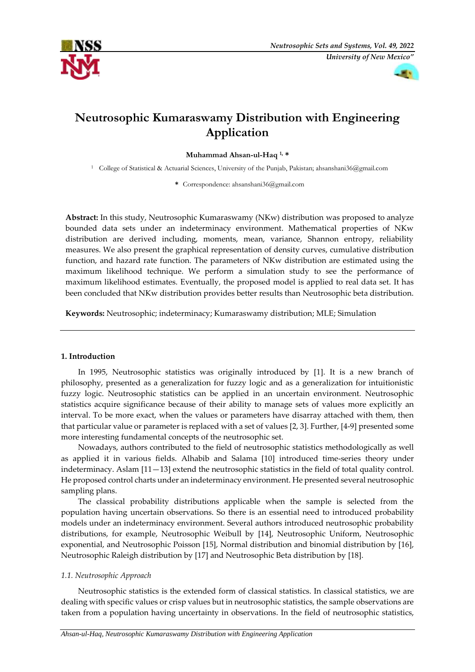



# **Neutrosophic Kumaraswamy Distribution with Engineering Application**

**Muhammad Ahsan-ul-Haq 1, \*** 

<sup>1</sup> College of Statistical & Actuarial Sciences, University of the Punjab, Pakistan; ahsanshani36@gmail.com

**\*** Correspondence: ahsanshani36@gmail.com

**Abstract:** In this study, Neutrosophic Kumaraswamy (NKw) distribution was proposed to analyze bounded data sets under an indeterminacy environment. Mathematical properties of NKw distribution are derived including, moments, mean, variance, Shannon entropy, reliability measures. We also present the graphical representation of density curves, cumulative distribution function, and hazard rate function. The parameters of NKw distribution are estimated using the maximum likelihood technique. We perform a simulation study to see the performance of maximum likelihood estimates. Eventually, the proposed model is applied to real data set. It has been concluded that NKw distribution provides better results than Neutrosophic beta distribution.

**Keywords:** Neutrosophic; indeterminacy; Kumaraswamy distribution; MLE; Simulation

# **1. Introduction**

In 1995, Neutrosophic statistics was originally introduced by [1]. It is a new branch of philosophy, presented as a generalization for fuzzy logic and as a generalization for intuitionistic fuzzy logic. Neutrosophic statistics can be applied in an uncertain environment. Neutrosophic statistics acquire significance because of their ability to manage sets of values more explicitly an interval. To be more exact, when the values or parameters have disarray attached with them, then that particular value or parameter is replaced with a set of values [2, 3]. Further, [4-9] presented some more interesting fundamental concepts of the neutrosophic set.

Nowadays, authors contributed to the field of neutrosophic statistics methodologically as well as applied it in various fields. Alhabib and Salama [10] introduced time-series theory under indeterminacy. Aslam [11—13] extend the neutrosophic statistics in the field of total quality control. He proposed control charts under an indeterminacy environment. He presented several neutrosophic sampling plans.

The classical probability distributions applicable when the sample is selected from the population having uncertain observations. So there is an essential need to introduced probability models under an indeterminacy environment. Several authors introduced neutrosophic probability distributions, for example, Neutrosophic Weibull by [14], Neutrosophic Uniform, Neutrosophic exponential, and Neutrosophic Poisson [15], Normal distribution and binomial distribution by [16], Neutrosophic Raleigh distribution by [17] and Neutrosophic Beta distribution by [18].

# *1.1. Neutrosophic Approach*

Neutrosophic statistics is the extended form of classical statistics. In classical statistics, we are dealing with specific values or crisp values but in neutrosophic statistics, the sample observations are taken from a population having uncertainty in observations. In the field of neutrosophic statistics,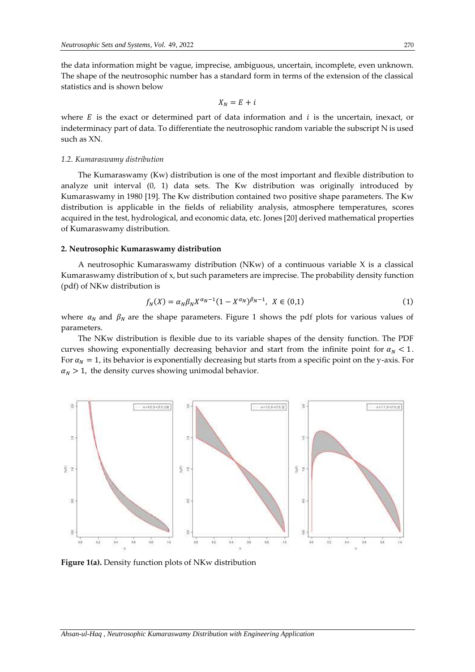the data information might be vague, imprecise, ambiguous, uncertain, incomplete, even unknown. The shape of the neutrosophic number has a standard form in terms of the extension of the classical statistics and is shown below

$$
X_N = E + i
$$

where  $E$  is the exact or determined part of data information and  $i$  is the uncertain, inexact, or indeterminacy part of data. To differentiate the neutrosophic random variable the subscript N is used such as XN.

#### *1.2. Kumaraswamy distribution*

The Kumaraswamy (Kw) distribution is one of the most important and flexible distribution to analyze unit interval (0, 1) data sets. The Kw distribution was originally introduced by Kumaraswamy in 1980 [19]. The Kw distribution contained two positive shape parameters. The Kw distribution is applicable in the fields of reliability analysis, atmosphere temperatures, scores acquired in the test, hydrological, and economic data, etc. Jones [20] derived mathematical properties of Kumaraswamy distribution.

## **2. Neutrosophic Kumaraswamy distribution**

A neutrosophic Kumaraswamy distribution (NKw) of a continuous variable X is a classical Kumaraswamy distribution of x, but such parameters are imprecise. The probability density function (pdf) of NKw distribution is

$$
f_N(X) = \alpha_N \beta_N X^{\alpha_N - 1} (1 - X^{\alpha_N})^{\beta_N - 1}, \ \ X \in (0, 1)
$$
 (1)

where  $\alpha_N$  and  $\beta_N$  are the shape parameters. Figure 1 shows the pdf plots for various values of parameters.

The NKw distribution is flexible due to its variable shapes of the density function. The PDF curves showing exponentially decreasing behavior and start from the infinite point for  $\alpha_N < 1$ . For  $\alpha_N = 1$ , its behavior is exponentially decreasing but starts from a specific point on the y-axis. For  $\alpha_N > 1$ , the density curves showing unimodal behavior.



**Figure 1(a).** Density function plots of NKw distribution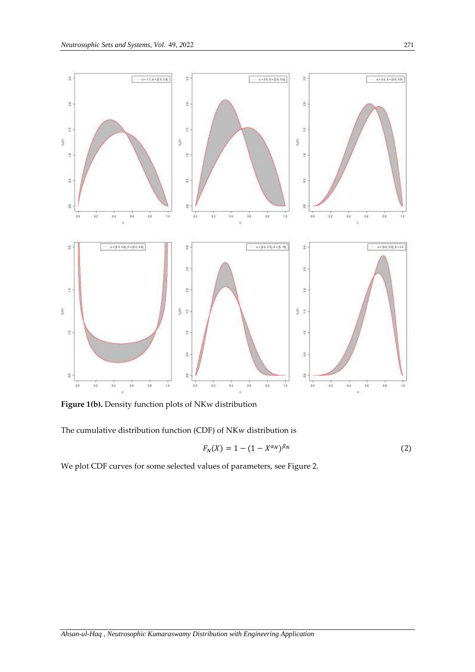

**Figure 1(b).** Density function plots of NKw distribution

The cumulative distribution function (CDF) of NKw distribution is

$$
F_N(X) = 1 - (1 - X^{\alpha_N})^{\beta_N}
$$
 (2)

We plot CDF curves for some selected values of parameters, see Figure 2.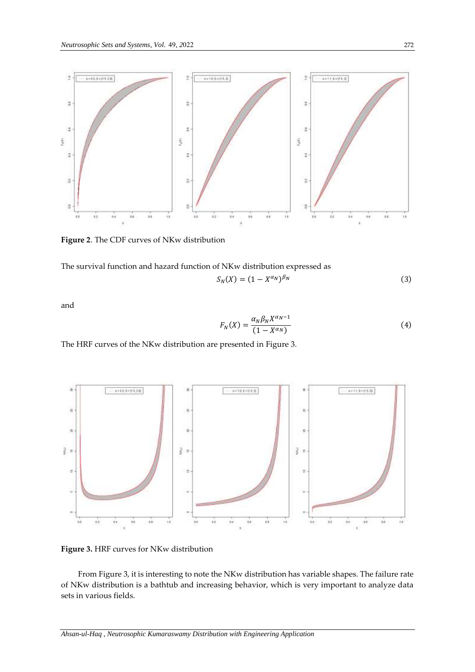

**Figure 2**. The CDF curves of NKw distribution

The survival function and hazard function of NKw distribution expressed as

$$
S_N(X) = (1 - X^{\alpha_N})^{\beta_N} \tag{3}
$$

and

$$
F_N(X) = \frac{\alpha_N \beta_N X^{\alpha_N - 1}}{(1 - X^{\alpha_N})}
$$
\n<sup>(4)</sup>

The HRF curves of the NKw distribution are presented in Figure 3.



**Figure 3.** HRF curves for NKw distribution

From Figure 3, it is interesting to note the NKw distribution has variable shapes. The failure rate of NKw distribution is a bathtub and increasing behavior, which is very important to analyze data sets in various fields.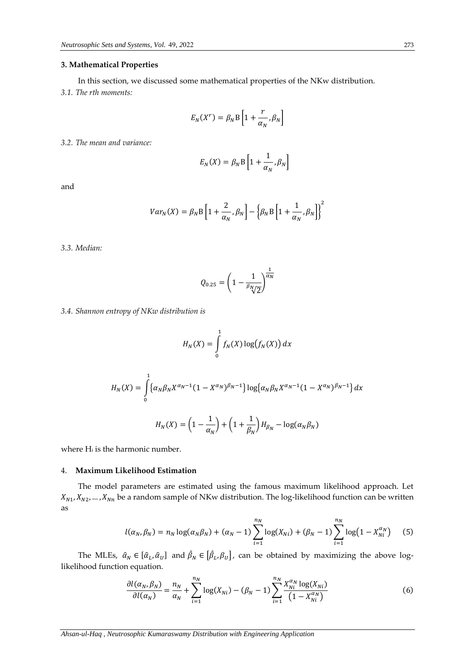## **3. Mathematical Properties**

In this section, we discussed some mathematical properties of the NKw distribution.

*3.1. The rth moments:* 

$$
E_N(X^r) = \beta_N \mathrm{B}\left[1 + \frac{r}{\alpha_N}, \beta_N\right]
$$

*3.2. The mean and variance:*

$$
E_N(X) = \beta_N \mathbf{B} \left[ 1 + \frac{1}{\alpha_N}, \beta_N \right]
$$

and

$$
Var_N(X) = \beta_N \mathbf{B} \left[ 1 + \frac{2}{\alpha_N}, \beta_N \right] - \left\{ \beta_N \mathbf{B} \left[ 1 + \frac{1}{\alpha_N}, \beta_N \right] \right\}^2
$$

*3.3. Median:* 

$$
Q_{0.25} = \left(1 - \frac{1}{\beta_N \sqrt{2}}\right)^{\frac{1}{\alpha_N}}
$$

*3.4. Shannon entropy of NKw distribution is* 

$$
H_N(X) = \int_0^1 f_N(X) \log(f_N(X)) dx
$$

$$
H_N(X) = \int_0^1 \{ \alpha_N \beta_N X^{\alpha_N - 1} (1 - X^{\alpha_N})^{\beta_N - 1} \} \log \{ \alpha_N \beta_N X^{\alpha_N - 1} (1 - X^{\alpha_N})^{\beta_N - 1} \} dx
$$

$$
H_N(X) = \left( 1 - \frac{1}{\alpha_N} \right) + \left( 1 + \frac{1}{\beta_N} \right) H_{\beta_N} - \log(\alpha_N \beta_N)
$$

where H<sup>i</sup> is the harmonic number.

## 4. **Maximum Likelihood Estimation**

The model parameters are estimated using the famous maximum likelihood approach. Let  $X_{N1}, X_{N2}, \ldots, X_{Nn}$  be a random sample of NKw distribution. The log-likelihood function can be written as

$$
l(\alpha_N, \beta_N) = n_N \log(\alpha_N \beta_N) + (\alpha_N - 1) \sum_{i=1}^{n_N} \log(X_{Ni}) + (\beta_N - 1) \sum_{i=1}^{n_N} \log(1 - X_{Ni}^{\alpha_N}) \tag{5}
$$

The MLEs,  $\hat{\alpha}_N \in [\hat{\alpha}_L, \hat{\alpha}_U]$  and  $\hat{\beta}_N \in [\hat{\beta}_L, \beta_U]$ , can be obtained by maximizing the above loglikelihood function equation.

$$
\frac{\partial l(\alpha_N, \beta_N)}{\partial l(\alpha_N)} = \frac{n_N}{\alpha_N} + \sum_{i=1}^{n_N} \log(X_{Ni}) - (\beta_N - 1) \sum_{i=1}^{n_N} \frac{X_{Ni}^{\alpha_N} \log(X_{Ni})}{(1 - X_{Ni}^{\alpha_N})} \tag{6}
$$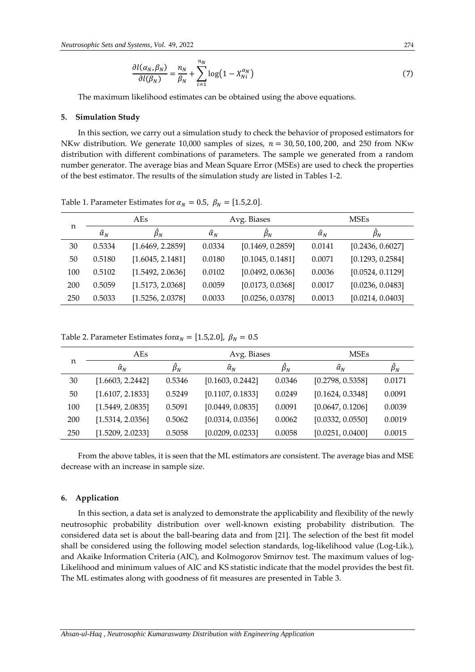$$
\frac{\partial l(\alpha_N, \beta_N)}{\partial l(\beta_N)} = \frac{n_N}{\beta_N} + \sum_{i=1}^{n_N} \log(1 - X_{Ni}^{\alpha_N})
$$
\n(7)

The maximum likelihood estimates can be obtained using the above equations.

## **5. Simulation Study**

In this section, we carry out a simulation study to check the behavior of proposed estimators for NKw distribution. We generate 10,000 samples of sizes,  $n = 30, 50, 100, 200$ , and 250 from NKw distribution with different combinations of parameters. The sample we generated from a random number generator. The average bias and Mean Square Error (MSEs) are used to check the properties of the best estimator. The results of the simulation study are listed in Tables 1-2.

| n   | AE <sub>S</sub>  |                  | Avg. Biases          |                  | <b>MSEs</b>          |                  |
|-----|------------------|------------------|----------------------|------------------|----------------------|------------------|
|     | $\hat{\alpha}_N$ | $\beta_N$        | $\widehat{\alpha}_N$ | $\beta_N$        | $\widehat{\alpha}_N$ | $\beta_N$        |
| 30  | 0.5334           | [1.6469, 2.2859] | 0.0334               | [0.1469, 0.2859] | 0.0141               | [0.2436, 0.6027] |
| 50  | 0.5180           | [1.6045, 2.1481] | 0.0180               | [0.1045, 0.1481] | 0.0071               | [0.1293, 0.2584] |
| 100 | 0.5102           | [1.5492, 2.0636] | 0.0102               | [0.0492, 0.0636] | 0.0036               | [0.0524, 0.1129] |
| 200 | 0.5059           | [1.5173, 2.0368] | 0.0059               | [0.0173, 0.0368] | 0.0017               | [0.0236, 0.0483] |
| 250 | 0.5033           | [1.5256, 2.0378] | 0.0033               | [0.0256, 0.0378] | 0.0013               | [0.0214, 0.0403] |

Table 1. Parameter Estimates for  $\alpha_N = 0.5$ ,  $\beta_N = [1.5, 2.0]$ .

Table 2. Parameter Estimates for  $\alpha_N = [1.5, 2.0]$ ,  $\beta_N = 0.5$ 

| n   | AEs              |                | Avg. Biases          |           | <b>MSEs</b>      |           |
|-----|------------------|----------------|----------------------|-----------|------------------|-----------|
|     | $\hat{\alpha}_N$ | $\ddot\beta_N$ | $\widehat{\alpha}_N$ | $\beta_N$ | $\hat{\alpha}_N$ | $\beta_N$ |
| 30  | [1.6603, 2.2442] | 0.5346         | [0.1603, 0.2442]     | 0.0346    | [0.2798, 0.5358] | 0.0171    |
| 50  | [1.6107, 2.1833] | 0.5249         | [0.1107, 0.1833]     | 0.0249    | [0.1624, 0.3348] | 0.0091    |
| 100 | [1.5449, 2.0835] | 0.5091         | [0.0449, 0.0835]     | 0.0091    | [0.0647, 0.1206] | 0.0039    |
| 200 | [1.5314, 2.0356] | 0.5062         | [0.0314, 0.0356]     | 0.0062    | [0.0332, 0.0550] | 0.0019    |
| 250 | [1.5209, 2.0233] | 0.5058         | [0.0209, 0.0233]     | 0.0058    | [0.0251, 0.0400] | 0.0015    |

From the above tables, it is seen that the ML estimators are consistent. The average bias and MSE decrease with an increase in sample size.

#### **6. Application**

In this section, a data set is analyzed to demonstrate the applicability and flexibility of the newly neutrosophic probability distribution over well-known existing probability distribution. The considered data set is about the ball-bearing data and from [21]. The selection of the best fit model shall be considered using the following model selection standards, log-likelihood value (Log-Lik.), and Akaike Information Criteria (AIC), and Kolmogorov Smirnov test. The maximum values of log-Likelihood and minimum values of AIC and KS statistic indicate that the model provides the best fit. The ML estimates along with goodness of fit measures are presented in Table 3.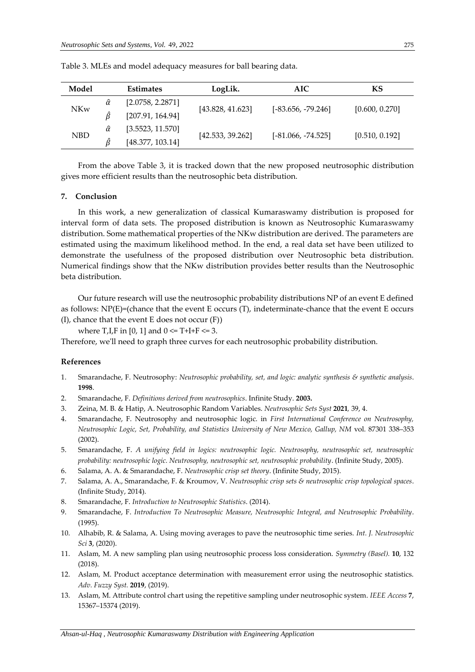| Model      |                | <b>Estimates</b> | LogLik.          | <b>AIC</b>           | KS             |  |
|------------|----------------|------------------|------------------|----------------------|----------------|--|
| <b>NKw</b> |                | [2.0758, 2.2871] |                  |                      |                |  |
|            |                | [207.91, 164.94] | [43.828, 41.623] | $[-83.656, -79.246]$ | [0.600, 0.270] |  |
| <b>NBD</b> | $\hat{\alpha}$ | [3.5523, 11.570] |                  |                      |                |  |
|            |                | [48.377, 103.14] | [42.533, 39.262] | $[-81.066, -74.525]$ | [0.510, 0.192] |  |

Table 3. MLEs and model adequacy measures for ball bearing data.

From the above Table 3, it is tracked down that the new proposed neutrosophic distribution gives more efficient results than the neutrosophic beta distribution.

#### **7. Conclusion**

In this work, a new generalization of classical Kumaraswamy distribution is proposed for interval form of data sets. The proposed distribution is known as Neutrosophic Kumaraswamy distribution. Some mathematical properties of the NKw distribution are derived. The parameters are estimated using the maximum likelihood method. In the end, a real data set have been utilized to demonstrate the usefulness of the proposed distribution over Neutrosophic beta distribution. Numerical findings show that the NKw distribution provides better results than the Neutrosophic beta distribution.

Our future research will use the neutrosophic probability distributions NP of an event E defined as follows:  $NP(E)=($ chance that the event E occurs  $(T)$ , indeterminate-chance that the event E occurs (I), chance that the event E does not occur (F))

where T, I, F in [0, 1] and  $0 \le T+I+F \le 3$ .

Therefore, we'll need to graph three curves for each neutrosophic probability distribution.

#### **References**

- 1. Smarandache, F. Neutrosophy: *Neutrosophic probability, set, and logic: analytic synthesis & synthetic analysis*. **1998**.
- 2. Smarandache, F. *Definitions derived from neutrosophics*. Infinite Study. **2003.**
- 3. Zeina, M. B. & Hatip, A. Neutrosophic Random Variables. *Neutrosophic Sets Syst* **2021***,* 39, 4.
- 4. Smarandache, F. Neutrosophy and neutrosophic logic. in *First International Conference on Neutrosophy, Neutrosophic Logic, Set, Probability, and Statistics University of New Mexico, Gallup, NM* vol. 87301 338–353 (2002).
- 5. Smarandache, F. *A unifying field in logics: neutrosophic logic. Neutrosophy, neutrosophic set, neutrosophic probability: neutrosophic logic. Neutrosophy, neutrosophic set, neutrosophic probability*. (Infinite Study, 2005).
- 6. Salama, A. A. & Smarandache, F. *Neutrosophic crisp set theory*. (Infinite Study, 2015).
- 7. Salama, A. A., Smarandache, F. & Kroumov, V. *Neutrosophic crisp sets & neutrosophic crisp topological spaces*. (Infinite Study, 2014).
- 8. Smarandache, F. *Introduction to Neutrosophic Statistics*. (2014).
- 9. Smarandache, F. *Introduction To Neutrosophic Measure, Neutrosophic Integral, and Neutrosophic Probability*. (1995).
- 10. Alhabib, R. & Salama, A. Using moving averages to pave the neutrosophic time series. *Int. J. Neutrosophic Sci* **3**, (2020).
- 11. Aslam, M. A new sampling plan using neutrosophic process loss consideration. *Symmetry (Basel).* **10**, 132 (2018).
- 12. Aslam, M. Product acceptance determination with measurement error using the neutrosophic statistics. *Adv. Fuzzy Syst.* **2019**, (2019).
- 13. Aslam, M. Attribute control chart using the repetitive sampling under neutrosophic system. *IEEE Access* **7**, 15367–15374 (2019).